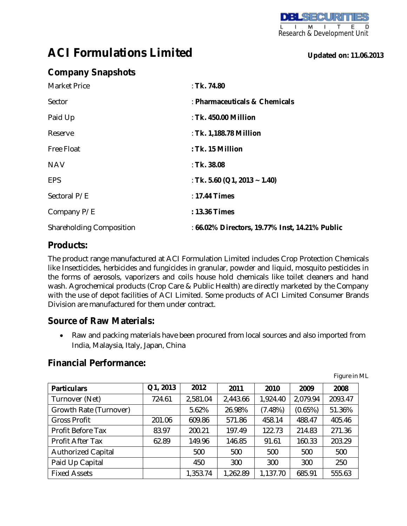F  $\overline{\mathsf{D}}$ м т. . Research & Development Unit

# **ACI Formulations Limited**

**Updated on: 11.06.2013**

## **Company Snapshots**

| <b>Market Price</b>             | : Tk. 74.80                                    |
|---------------------------------|------------------------------------------------|
| Sector                          | : Pharmaceuticals & Chemicals                  |
| Paid Up                         | : Tk. 450.00 Million                           |
| Reserve                         | : Tk. 1,188.78 Million                         |
| <b>Free Float</b>               | : Tk. 15 Million                               |
| <b>NAV</b>                      | : Tk. $38.08$                                  |
| <b>EPS</b>                      | : Tk. 5.60 (Q1, 2013 ~ 1.40)                   |
| Sectoral P/E                    | $: 17.44$ Times                                |
| Company P/E                     | : 13.36 Times                                  |
| <b>Shareholding Composition</b> | : 66.02% Directors, 19.77% Inst, 14.21% Public |

#### **Products:**

The product range manufactured at ACI Formulation Limited includes Crop Protection Chemicals like Insecticides, herbicides and fungicides in granular, powder and liquid, mosquito pesticides in the forms of aerosols, vaporizers and coils house hold chemicals like toilet cleaners and hand wash. Agrochemical products (Crop Care & Public Health) are directly marketed by the Company with the use of depot facilities of ACI Limited. Some products of ACI Limited Consumer Brands Division are manufactured for them under contract.

### **Source of Raw Materials:**

• Raw and packing materials have been procured from local sources and also imported from India, Malaysia, Italy, Japan, China

#### **Financial Performance:**

| <b>Particulars</b>        | Q1, 2013 | 2012     | 2011     | 2010     | 2009     | 2008    |
|---------------------------|----------|----------|----------|----------|----------|---------|
| Turnover (Net)            | 724.61   | 2,581.04 | 2,443.66 | 1,924.40 | 2,079.94 | 2093.47 |
| Growth Rate (Turnover)    |          | 5.62%    | 26.98%   | (7.48%)  | (0.65%)  | 51.36%  |
| <b>Gross Profit</b>       | 201.06   | 609.86   | 571.86   | 458.14   | 488.47   | 405.46  |
| Profit Before Tax         | 83.97    | 200.21   | 197.49   | 122.73   | 214.83   | 271.36  |
| Profit After Tax          | 62.89    | 149.96   | 146.85   | 91.61    | 160.33   | 203.29  |
| <b>Authorized Capital</b> |          | 500      | 500      | 500      | 500      | 500     |
| Paid Up Capital           |          | 450      | 300      | 300      | 300      | 250     |
| <b>Fixed Assets</b>       |          | 1,353.74 | 1,262.89 | 1,137.70 | 685.91   | 555.63  |

Figure in ML